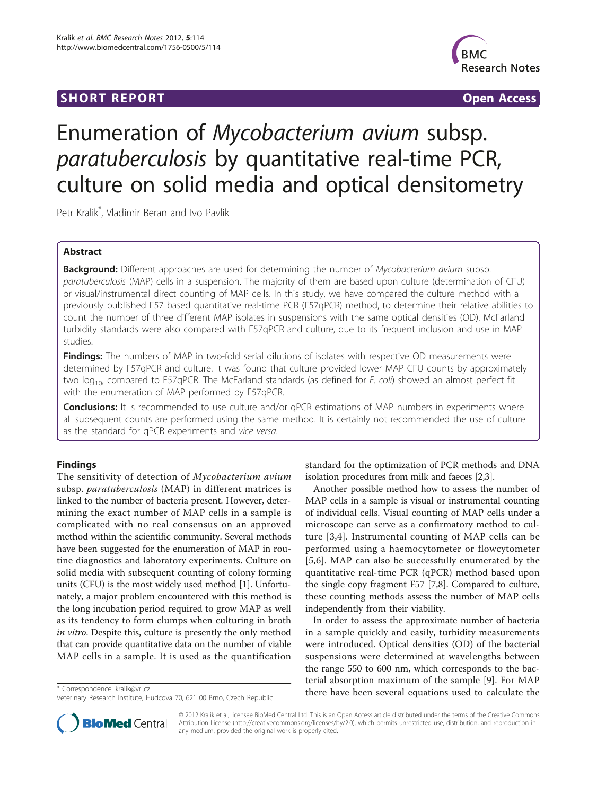## **SHORT REPORT SHORT CONSUMING THE SHORT CONSUMING THE SHORT CONSUMING THE SHORT CONSUMING THE SHORT CONSUMING THE SHORT CONSUMING THE SHORT CONSUMING THE SHORT CONSUMING THE SHORT CONSUMING THE SHORT CONSUMING THE SHORT**



# Enumeration of Mycobacterium avium subsp. paratuberculosis by quantitative real-time PCR, culture on solid media and optical densitometry

Petr Kralik\* , Vladimir Beran and Ivo Pavlik

## Abstract

**Background:** Different approaches are used for determining the number of Mycobacterium avium subsp. paratuberculosis (MAP) cells in a suspension. The majority of them are based upon culture (determination of CFU) or visual/instrumental direct counting of MAP cells. In this study, we have compared the culture method with a previously published F57 based quantitative real-time PCR (F57qPCR) method, to determine their relative abilities to count the number of three different MAP isolates in suspensions with the same optical densities (OD). McFarland turbidity standards were also compared with F57qPCR and culture, due to its frequent inclusion and use in MAP studies.

Findings: The numbers of MAP in two-fold serial dilutions of isolates with respective OD measurements were determined by F57qPCR and culture. It was found that culture provided lower MAP CFU counts by approximately two  $log_{10}$  compared to F57qPCR. The McFarland standards (as defined for E. coli) showed an almost perfect fit with the enumeration of MAP performed by F57qPCR.

**Conclusions:** It is recommended to use culture and/or qPCR estimations of MAP numbers in experiments where all subsequent counts are performed using the same method. It is certainly not recommended the use of culture as the standard for qPCR experiments and vice versa.

## Findings

The sensitivity of detection of Mycobacterium avium subsp. paratuberculosis (MAP) in different matrices is linked to the number of bacteria present. However, determining the exact number of MAP cells in a sample is complicated with no real consensus on an approved method within the scientific community. Several methods have been suggested for the enumeration of MAP in routine diagnostics and laboratory experiments. Culture on solid media with subsequent counting of colony forming units (CFU) is the most widely used method [[1\]](#page-4-0). Unfortunately, a major problem encountered with this method is the long incubation period required to grow MAP as well as its tendency to form clumps when culturing in broth in vitro. Despite this, culture is presently the only method that can provide quantitative data on the number of viable MAP cells in a sample. It is used as the quantification

standard for the optimization of PCR methods and DNA isolation procedures from milk and faeces [[2,3\]](#page-4-0).

Another possible method how to assess the number of MAP cells in a sample is visual or instrumental counting of individual cells. Visual counting of MAP cells under a microscope can serve as a confirmatory method to culture [[3,4\]](#page-4-0). Instrumental counting of MAP cells can be performed using a haemocytometer or flowcytometer [[5,6](#page-4-0)]. MAP can also be successfully enumerated by the quantitative real-time PCR (qPCR) method based upon the single copy fragment F57 [\[7,8](#page-4-0)]. Compared to culture, these counting methods assess the number of MAP cells independently from their viability.

In order to assess the approximate number of bacteria in a sample quickly and easily, turbidity measurements were introduced. Optical densities (OD) of the bacterial suspensions were determined at wavelengths between the range 550 to 600 nm, which corresponds to the bacterial absorption maximum of the sample [[9\]](#page-4-0). For MAP \* Correspondence: [kralik@vri.cz](mailto:kralik@vri.cz)<br>
there have been several equations used to calculate the



© 2012 Kralik et al; licensee BioMed Central Ltd. This is an Open Access article distributed under the terms of the Creative Commons Attribution License [\(http://creativecommons.org/licenses/by/2.0](http://creativecommons.org/licenses/by/2.0)), which permits unrestricted use, distribution, and reproduction in any medium, provided the original work is properly cited.

Veterinary Research Institute, Hudcova 70, 621 00 Brno, Czech Republic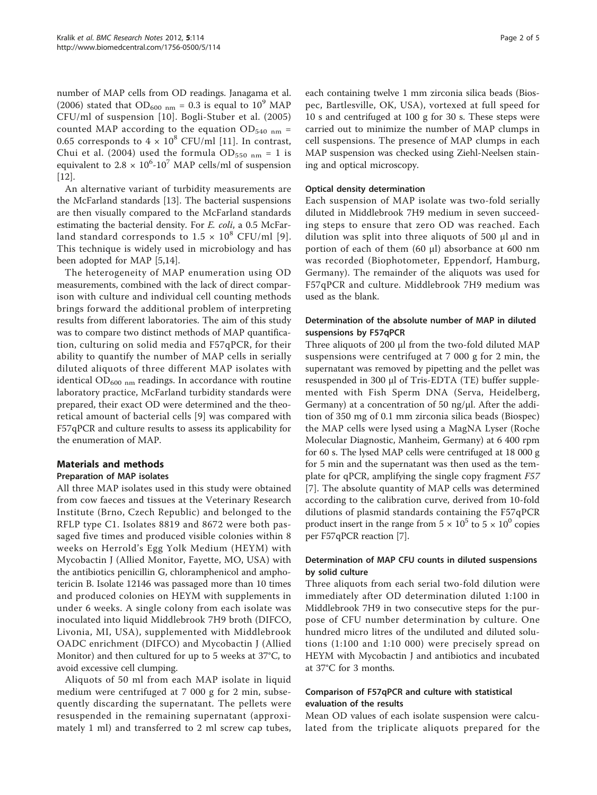number of MAP cells from OD readings. Janagama et al. (2006) stated that  $OD_{600 \text{ nm}} = 0.3$  is equal to  $10^9$  MAP CFU/ml of suspension [[10](#page-4-0)]. Bogli-Stuber et al. (2005) counted MAP according to the equation  $OD_{540 \text{ nm}} =$ 0.65 corresponds to  $4 \times 10^8$  CFU/ml [[11](#page-4-0)]. In contrast, Chui et al. (2004) used the formula  $OD_{550 \text{ nm}} = 1$  is equivalent to 2.8  $\times$  10<sup>6</sup>-10<sup>7</sup> MAP cells/ml of suspension [[12\]](#page-4-0).

An alternative variant of turbidity measurements are the McFarland standards [[13\]](#page-4-0). The bacterial suspensions are then visually compared to the McFarland standards estimating the bacterial density. For *E. coli*, a 0.5 McFarland standard corresponds to  $1.5 \times 10^8$  CFU/ml [[9\]](#page-4-0). This technique is widely used in microbiology and has been adopted for MAP [[5,14](#page-4-0)].

The heterogeneity of MAP enumeration using OD measurements, combined with the lack of direct comparison with culture and individual cell counting methods brings forward the additional problem of interpreting results from different laboratories. The aim of this study was to compare two distinct methods of MAP quantification, culturing on solid media and F57qPCR, for their ability to quantify the number of MAP cells in serially diluted aliquots of three different MAP isolates with identical  $OD_{600 \text{ nm}}$  readings. In accordance with routine laboratory practice, McFarland turbidity standards were prepared, their exact OD were determined and the theoretical amount of bacterial cells [\[9](#page-4-0)] was compared with F57qPCR and culture results to assess its applicability for the enumeration of MAP.

## Materials and methods

## Preparation of MAP isolates

All three MAP isolates used in this study were obtained from cow faeces and tissues at the Veterinary Research Institute (Brno, Czech Republic) and belonged to the RFLP type C1. Isolates 8819 and 8672 were both passaged five times and produced visible colonies within 8 weeks on Herrold's Egg Yolk Medium (HEYM) with Mycobactin J (Allied Monitor, Fayette, MO, USA) with the antibiotics penicillin G, chloramphenicol and amphotericin B. Isolate 12146 was passaged more than 10 times and produced colonies on HEYM with supplements in under 6 weeks. A single colony from each isolate was inoculated into liquid Middlebrook 7H9 broth (DIFCO, Livonia, MI, USA), supplemented with Middlebrook OADC enrichment (DIFCO) and Mycobactin J (Allied Monitor) and then cultured for up to 5 weeks at 37°C, to avoid excessive cell clumping.

Aliquots of 50 ml from each MAP isolate in liquid medium were centrifuged at 7 000 g for 2 min, subsequently discarding the supernatant. The pellets were resuspended in the remaining supernatant (approximately 1 ml) and transferred to 2 ml screw cap tubes, each containing twelve 1 mm zirconia silica beads (Biospec, Bartlesville, OK, USA), vortexed at full speed for 10 s and centrifuged at 100 g for 30 s. These steps were carried out to minimize the number of MAP clumps in cell suspensions. The presence of MAP clumps in each MAP suspension was checked using Ziehl-Neelsen staining and optical microscopy.

#### Optical density determination

Each suspension of MAP isolate was two-fold serially diluted in Middlebrook 7H9 medium in seven succeeding steps to ensure that zero OD was reached. Each dilution was split into three aliquots of 500 μl and in portion of each of them (60 μl) absorbance at 600 nm was recorded (Biophotometer, Eppendorf, Hamburg, Germany). The remainder of the aliquots was used for F57qPCR and culture. Middlebrook 7H9 medium was used as the blank.

## Determination of the absolute number of MAP in diluted suspensions by F57qPCR

Three aliquots of 200 μl from the two-fold diluted MAP suspensions were centrifuged at 7 000 g for 2 min, the supernatant was removed by pipetting and the pellet was resuspended in 300 μl of Tris-EDTA (TE) buffer supplemented with Fish Sperm DNA (Serva, Heidelberg, Germany) at a concentration of 50 ng/μl. After the addition of 350 mg of 0.1 mm zirconia silica beads (Biospec) the MAP cells were lysed using a MagNA Lyser (Roche Molecular Diagnostic, Manheim, Germany) at 6 400 rpm for 60 s. The lysed MAP cells were centrifuged at 18 000 g for 5 min and the supernatant was then used as the template for qPCR, amplifying the single copy fragment F57 [[7](#page-4-0)]. The absolute quantity of MAP cells was determined according to the calibration curve, derived from 10-fold dilutions of plasmid standards containing the F57qPCR product insert in the range from  $5 \times 10^5$  to  $5 \times 10^0$  copies per F57qPCR reaction [[7](#page-4-0)].

#### Determination of MAP CFU counts in diluted suspensions by solid culture

Three aliquots from each serial two-fold dilution were immediately after OD determination diluted 1:100 in Middlebrook 7H9 in two consecutive steps for the purpose of CFU number determination by culture. One hundred micro litres of the undiluted and diluted solutions (1:100 and 1:10 000) were precisely spread on HEYM with Mycobactin J and antibiotics and incubated at 37°C for 3 months.

## Comparison of F57qPCR and culture with statistical evaluation of the results

Mean OD values of each isolate suspension were calculated from the triplicate aliquots prepared for the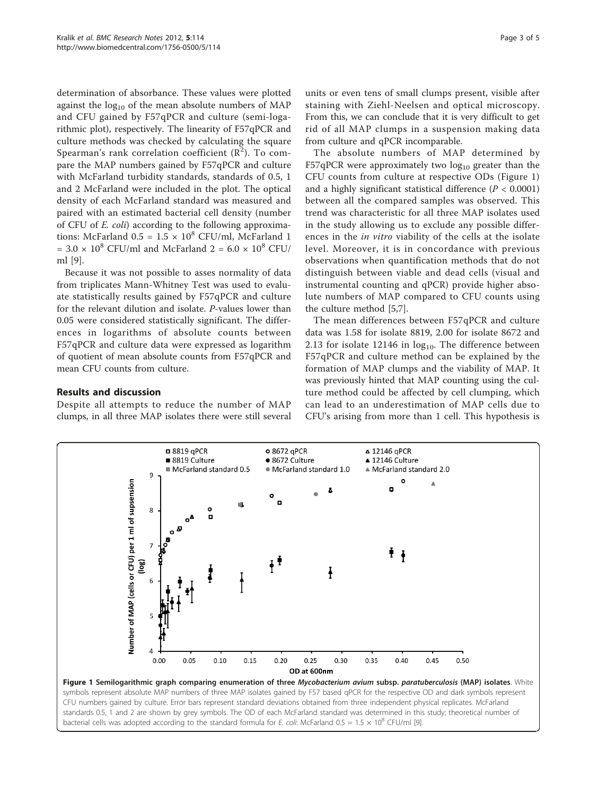<span id="page-2-0"></span>determination of absorbance. These values were plotted against the  $log_{10}$  of the mean absolute numbers of MAP and CFU gained by F57qPCR and culture (semi-logarithmic plot), respectively. The linearity of F57qPCR and culture methods was checked by calculating the square Spearman's rank correlation coefficient  $(\overline{R}^2)$ . To compare the MAP numbers gained by F57qPCR and culture with McFarland turbidity standards, standards of 0.5, 1 and 2 McFarland were included in the plot. The optical density of each McFarland standard was measured and paired with an estimated bacterial cell density (number of CFU of E. coli) according to the following approximations: McFarland  $0.5 = 1.5 \times 10^8$  CFU/ml, McFarland 1  $= 3.0 \times 10^8$  CFU/ml and McFarland 2 = 6.0  $\times$  10<sup>8</sup> CFU/ ml [[9\]](#page-4-0).

Because it was not possible to asses normality of data from triplicates Mann-Whitney Test was used to evaluate statistically results gained by F57qPCR and culture for the relevant dilution and isolate. P-values lower than 0.05 were considered statistically significant. The differences in logarithms of absolute counts between F57qPCR and culture data were expressed as logarithm of quotient of mean absolute counts from F57qPCR and mean CFU counts from culture.

## Results and discussion

Despite all attempts to reduce the number of MAP clumps, in all three MAP isolates there were still several units or even tens of small clumps present, visible after staining with Ziehl-Neelsen and optical microscopy. From this, we can conclude that it is very difficult to get rid of all MAP clumps in a suspension making data from culture and qPCR incomparable.

The absolute numbers of MAP determined by F57qPCR were approximately two  $log_{10}$  greater than the CFU counts from culture at respective ODs (Figure 1) and a highly significant statistical difference ( $P < 0.0001$ ) between all the compared samples was observed. This trend was characteristic for all three MAP isolates used in the study allowing us to exclude any possible differences in the in vitro viability of the cells at the isolate level. Moreover, it is in concordance with previous observations when quantification methods that do not distinguish between viable and dead cells (visual and instrumental counting and qPCR) provide higher absolute numbers of MAP compared to CFU counts using the culture method [\[5,7](#page-4-0)].

The mean differences between F57qPCR and culture data was 1.58 for isolate 8819, 2.00 for isolate 8672 and 2.13 for isolate 12146 in  $log_{10}$ . The difference between F57qPCR and culture method can be explained by the formation of MAP clumps and the viability of MAP. It was previously hinted that MAP counting using the culture method could be affected by cell clumping, which can lead to an underestimation of MAP cells due to CFU's arising from more than 1 cell. This hypothesis is

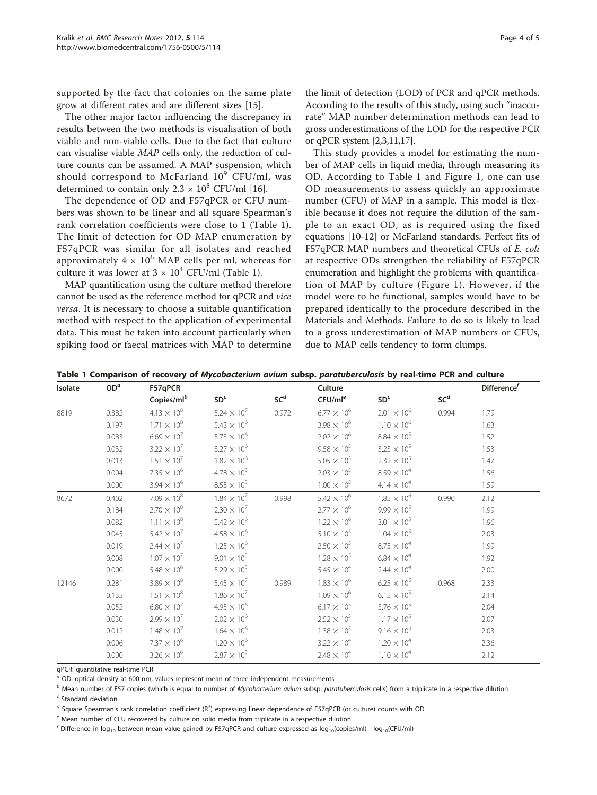supported by the fact that colonies on the same plate grow at different rates and are different sizes [[15](#page-4-0)].

The other major factor influencing the discrepancy in results between the two methods is visualisation of both viable and non-viable cells. Due to the fact that culture can visualise viable MAP cells only, the reduction of culture counts can be assumed. A MAP suspension, which should correspond to McFarland  $10^9$  CFU/ml, was determined to contain only  $2.3 \times 10^8$  CFU/ml [\[16\]](#page-4-0).

The dependence of OD and F57qPCR or CFU numbers was shown to be linear and all square Spearman's rank correlation coefficients were close to 1 (Table 1). The limit of detection for OD MAP enumeration by F57qPCR was similar for all isolates and reached approximately  $4 \times 10^6$  MAP cells per ml, whereas for culture it was lower at  $3 \times 10^4$  CFU/ml (Table 1).

MAP quantification using the culture method therefore cannot be used as the reference method for qPCR and vice versa. It is necessary to choose a suitable quantification method with respect to the application of experimental data. This must be taken into account particularly when spiking food or faecal matrices with MAP to determine

the limit of detection (LOD) of PCR and qPCR methods. According to the results of this study, using such "inaccurate" MAP number determination methods can lead to gross underestimations of the LOD for the respective PCR or qPCR system [\[2,3,11,17](#page-4-0)].

This study provides a model for estimating the number of MAP cells in liquid media, through measuring its OD. According to Table 1 and Figure [1](#page-2-0), one can use OD measurements to assess quickly an approximate number (CFU) of MAP in a sample. This model is flexible because it does not require the dilution of the sample to an exact OD, as is required using the fixed equations [\[10](#page-4-0)-[12](#page-4-0)] or McFarland standards. Perfect fits of F57qPCR MAP numbers and theoretical CFUs of E. coli at respective ODs strengthen the reliability of F57qPCR enumeration and highlight the problems with quantification of MAP by culture (Figure [1](#page-2-0)). However, if the model were to be functional, samples would have to be prepared identically to the procedure described in the Materials and Methods. Failure to do so is likely to lead to a gross underestimation of MAP numbers or CFUs, due to MAP cells tendency to form clumps.

|  |  |  |  |  | Table 1 Comparison of recovery of Mycobacterium avium subsp. paratuberculosis by real-time PCR and culture |  |  |  |
|--|--|--|--|--|------------------------------------------------------------------------------------------------------------|--|--|--|
|--|--|--|--|--|------------------------------------------------------------------------------------------------------------|--|--|--|

| Isolate | OD <sup>a</sup> | F57qPCR                |                      |                 | Culture              |                      |                 |      |
|---------|-----------------|------------------------|----------------------|-----------------|----------------------|----------------------|-----------------|------|
|         |                 | Copies/ml <sup>b</sup> | SD <sup>c</sup>      | SC <sup>d</sup> | CFU/ml <sup>e</sup>  | SD <sup>c</sup>      | SC <sup>d</sup> |      |
| 8819    | 0.382           | $4.13 \times 10^{8}$   | $5.24 \times 10^{7}$ | 0.972           | $6.77\times10^6$     | $2.01\,\times\,10^6$ | 0.994           | 1.79 |
|         | 0.197           | $1.71\times10^8$       | $5.43 \times 10^{6}$ |                 | $3.98 \times 10^{6}$ | $1.10 \times 10^{6}$ |                 | 1.63 |
|         | 0.083           | $6.69 \times 10^{7}$   | $5.73 \times 10^{6}$ |                 | $2.02 \times 10^6$   | $8.84\times10^5$     |                 | 1.52 |
|         | 0.032           | $3.22 \times 10^{7}$   | $3.27 \times 10^{6}$ |                 | $9.58 \times 10^{5}$ | $3.23 \times 10^{5}$ |                 | 1.53 |
|         | 0.013           | $1.51\times10^7$       | $1.82\times10^6$     |                 | $5.05 \times 10^{5}$ | $2.32 \times 10^{5}$ |                 | 1.47 |
|         | 0.004           | $7.35\times10^6$       | $4.78 \times 10^{5}$ |                 | $2.03 \times 10^5$   | $8.59 \times 10^{4}$ |                 | 1.56 |
|         | 0.000           | $3.94 \times 10^{6}$   | $8.55 \times 10^{5}$ |                 | $1.00 \times 10^{5}$ | $4.14 \times 10^{4}$ |                 | 1.59 |
| 8672    | 0.402           | $7.09 \times 10^{8}$   | $1.84\times10^7$     | 0.998           | $5.42 \times 10^{6}$ | $1.85 \times 10^{6}$ | 0.990           | 2.12 |
|         | 0.184           | $2.70 \times 10^8$     | $2.30 \times 10^{7}$ |                 | $2.77 \times 10^{6}$ | $9.99 \times 10^{5}$ |                 | 1.99 |
|         | 0.082           | $1.11\times10^8$       | $5.42 \times 10^{6}$ |                 | $1.22 \times 10^{6}$ | $3.01 \times 10^{5}$ |                 | 1.96 |
|         | 0.045           | $5.42 \times 10^{7}$   | $4.58 \times 10^{6}$ |                 | $5.10 \times 10^{5}$ | $1.04 \times 10^{5}$ |                 | 2.03 |
|         | 0.019           | $2.44 \times 10^{7}$   | $1.25 \times 10^{6}$ |                 | $2.50 \times 10^{5}$ | $8.75 \times 10^{4}$ |                 | 1.99 |
|         | 0.008           | $1.07\times10^7$       | $9.01 \times 10^{5}$ |                 | $1.28 \times 10^5$   | $6.84 \times 10^{4}$ |                 | 1.92 |
|         | 0.000           | $5.48 \times 10^{6}$   | $5.29 \times 10^{5}$ |                 | $5.45 \times 10^{4}$ | $2.44 \times 10^{4}$ |                 | 2.00 |
| 12146   | 0.281           | $3.89 \times 10^{8}$   | $5.45 \times 10^{7}$ | 0.989           | $1.83 \times 10^{6}$ | $6.25 \times 10^{5}$ | 0.968           | 2.33 |
|         | 0.135           | $1.51 \times 10^8$     | $1.86 \times 10^{7}$ |                 | $1.09 \times 10^{6}$ | $6.15 \times 10^{5}$ |                 | 2.14 |
|         | 0.052           | $6.80 \times 10^{7}$   | $4.95 \times 10^{6}$ |                 | $6.17 \times 10^{5}$ | $3.76 \times 10^{5}$ |                 | 2.04 |
|         | 0.030           | $2.99 \times 10^{7}$   | $2.02 \times 10^{6}$ |                 | $2.52 \times 10^{5}$ | $1.17 \times 10^{5}$ |                 | 2.07 |
|         | 0.012           | $1.48 \times 10^{7}$   | $1.64 \times 10^{6}$ |                 | $1.38 \times 10^{5}$ | $9.16 \times 10^{4}$ |                 | 2.03 |
|         | 0.006           | $7.37\times10^6$       | $1.20 \times 10^{6}$ |                 | $3.22 \times 10^{4}$ | $1.20 \times 10^4$   |                 | 2.36 |
|         | 0.000           | $3.26 \times 10^{6}$   | $2.87 \times 10^{5}$ |                 | $2.48 \times 10^{4}$ | $1.10 \times 10^{4}$ |                 | 2.12 |

qPCR: quantitative real-time PCR

 $a<sup>a</sup>$  OD: optical density at 600 nm, values represent mean of three independent measurements

 $<sup>b</sup>$  Mean number of F57 copies (which is equal to number of Mycobacterium avium subsp. paratuberculosis cells) from a triplicate in a respective dilution</sup>

 $c$  Standard deviation

 $^d$  Square Spearman's rank correlation coefficient (R<sup>2</sup>) expressing linear dependence of F57qPCR (or culture) counts with OD

 $e$  Mean number of CFU recovered by culture on solid media from triplicate in a respective dilution

 $f$  Difference in log<sub>10</sub> between mean value gained by F57qPCR and culture expressed as log<sub>10</sub>(copies/ml) - log<sub>10</sub>(CFU/ml)